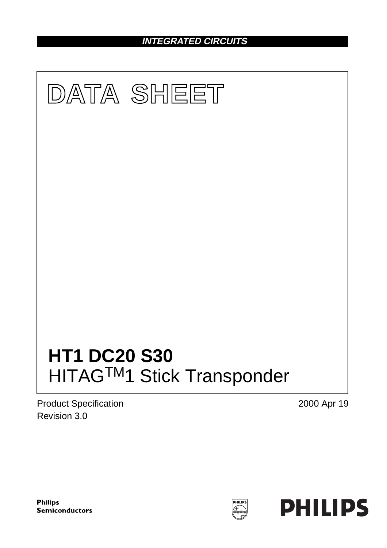## **INTEGRATED CIRCUITS**



Product Specification Revision 3.0

2000 Apr 19



PHILIPS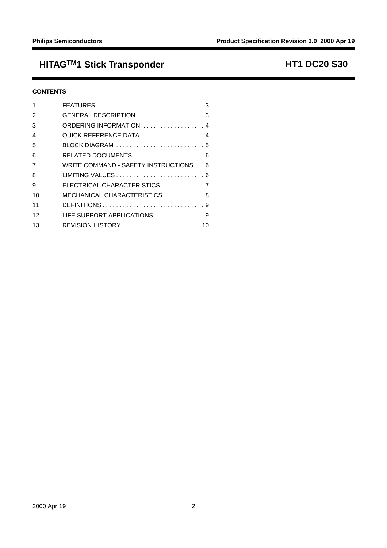## HITAG<sup>TM</sup>1 Stick Transponder **HITAGTM1** Stick Transponder

## **CONTENTS**

|                | FEATURES3                                                             |
|----------------|-----------------------------------------------------------------------|
| 2              |                                                                       |
| 3              | ORDERING INFORMATION4                                                 |
| 4              | QUICK REFERENCE DATA 4                                                |
| 5              | $B$ LOCK DIAGRAM $\ldots \ldots \ldots \ldots \ldots \ldots \ldots 5$ |
| 6              |                                                                       |
| $\overline{7}$ | WRITE COMMAND - SAFETY INSTRUCTIONS 6                                 |
| 8              |                                                                       |
| 9              | ELECTRICAL CHARACTERISTICS. 7                                         |
| 10             | MECHANICAL CHARACTERISTICS 8                                          |
| 11             |                                                                       |
| 12             | LIFE SUPPORT APPLICATIONS9                                            |
| 13             | REVISION HISTORY  10                                                  |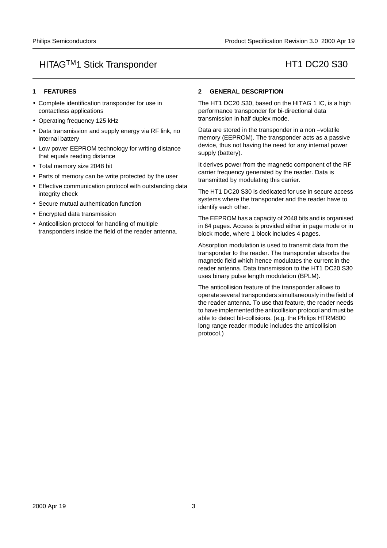#### <span id="page-2-0"></span>**1 FEATURES**

- Complete identification transponder for use in contactless applications
- Operating frequency 125 kHz
- Data transmission and supply energy via RF link, no internal battery
- Low power EEPROM technology for writing distance that equals reading distance
- Total memory size 2048 bit
- Parts of memory can be write protected by the user
- Effective communication protocol with outstanding data integrity check
- Secure mutual authentication function
- Encrypted data transmission
- Anticollision protocol for handling of multiple transponders inside the field of the reader antenna.

## <span id="page-2-1"></span>**2 GENERAL DESCRIPTION**

The HT1 DC20 S30, based on the HITAG 1 IC, is a high performance transponder for bi-directional data transmission in half duplex mode.

Data are stored in the transponder in a non –volatile memory (EEPROM). The transponder acts as a passive device, thus not having the need for any internal power supply (battery).

It derives power from the magnetic component of the RF carrier frequency generated by the reader. Data is transmitted by modulating this carrier.

The HT1 DC20 S30 is dedicated for use in secure access systems where the transponder and the reader have to identify each other.

The EEPROM has a capacity of 2048 bits and is organised [in 64 pages. Access is provided either in page mode or in](#page-9-0) block mode, where 1 block includes 4 pages.

Absorption modulation is used to transmit data from the transponder to the reader. The transponder absorbs the magnetic field which hence modulates the current in the reader antenna. Data transmission to the HT1 DC20 S30 uses binary pulse length modulation (BPLM).

The anticollision feature of the transponder allows to operate several transponders simultaneously in the field of the reader antenna. To use that feature, the reader needs to have implemented the anticollision protocol and must be able to detect bit-collisions. (e.g. the Philips HTRM800 long range reader module includes the anticollision protocol.)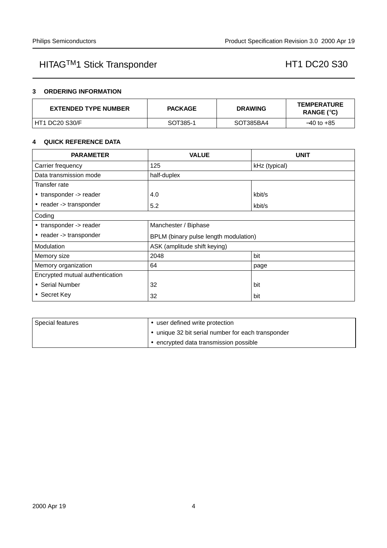## <span id="page-3-0"></span>**3 ORDERING INFORMATION**

| <b>EXTENDED TYPE NUMBER</b> | <b>PACKAGE</b> | <b>DRAWING</b> | <b>TEMPERATURE</b><br>RANGE (°C) |
|-----------------------------|----------------|----------------|----------------------------------|
| HT1 DC20 S30/F              | SOT385-1       | SOT385BA4      | $-40$ to $+85$                   |

### <span id="page-3-1"></span>**4 QUICK REFERENCE DATA**

| <b>PARAMETER</b>                | <b>VALUE</b>                          | <b>UNIT</b>   |  |  |
|---------------------------------|---------------------------------------|---------------|--|--|
| Carrier frequency               | 125                                   | kHz (typical) |  |  |
| Data transmission mode          | half-duplex                           |               |  |  |
| Transfer rate                   |                                       |               |  |  |
| • transponder -> reader         | 4.0                                   | kbit/s        |  |  |
| • reader -> transponder         | 5.2                                   | kbit/s        |  |  |
| Coding                          |                                       |               |  |  |
| • transponder -> reader         | Manchester / Biphase                  |               |  |  |
| • reader -> transponder         | BPLM (binary pulse length modulation) |               |  |  |
| Modulation                      | ASK (amplitude shift keying)          |               |  |  |
| Memory size                     | bit<br>2048                           |               |  |  |
| Memory organization             | 64                                    | page          |  |  |
| Encrypted mutual authentication |                                       |               |  |  |
| • Serial Number                 | 32                                    | bit           |  |  |
| • Secret Key                    | 32                                    | bit           |  |  |

| l Special features | user defined write protection                      |  |
|--------------------|----------------------------------------------------|--|
|                    | • unique 32 bit serial number for each transponder |  |
|                    | • encrypted data transmission possible             |  |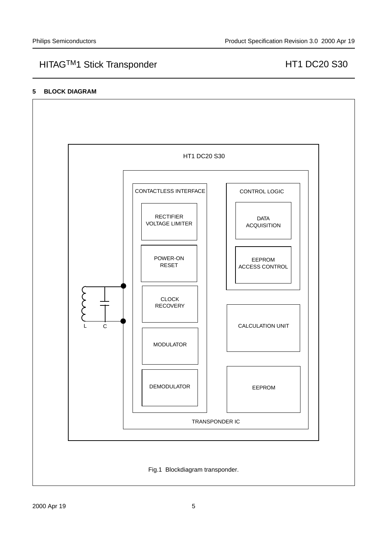## <span id="page-4-0"></span>**5 BLOCK DIAGRAM**

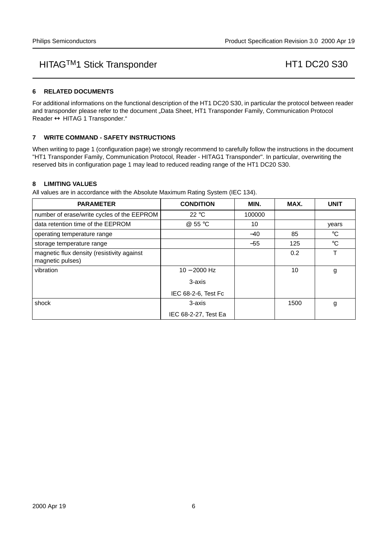## <span id="page-5-0"></span>**6 RELATED DOCUMENTS**

For additional informations on the functional description of the HT1 DC20 S30, in particular the protocol between reader and transponder please refer to the document "Data Sheet, HT1 Transponder Family, Communication Protocol Reader ↔ HITAG 1 Transponder."

### <span id="page-5-1"></span>**7 WRITE COMMAND - SAFETY INSTRUCTIONS**

When writing to page 1 (configuration page) we strongly recommend to carefully follow the instructions in the document "HT1 Transponder Family, Communication Protocol, Reader - HITAG1 Transponder". In particular, overwriting the reserved bits in configuration page 1 may lead to reduced reading range of the HT1 DC20 S30.

#### <span id="page-5-2"></span>**8 LIMITING VALUES**

All values are in accordance with the Absolute Maximum Rating System (IEC 134).

| <b>PARAMETER</b>                                               | <b>CONDITION</b>     | MIN.   | MAX. | <b>UNIT</b> |
|----------------------------------------------------------------|----------------------|--------|------|-------------|
| number of erase/write cycles of the EEPROM                     | 22 °C                | 100000 |      |             |
| data retention time of the EEPROM                              | @ 55 °C              | 10     |      | years       |
| operating temperature range                                    |                      | $-40$  | 85   | $^{\circ}C$ |
| storage temperature range                                      |                      | $-55$  | 125  | $^{\circ}C$ |
| magnetic flux density (resistivity against<br>magnetic pulses) |                      |        | 0.2  | т           |
| vibration                                                      | $10 - 2000$ Hz       |        | 10   | g           |
|                                                                | 3-axis               |        |      |             |
|                                                                | IEC 68-2-6, Test Fc  |        |      |             |
| shock                                                          | 3-axis               |        | 1500 | g           |
|                                                                | IEC 68-2-27, Test Ea |        |      |             |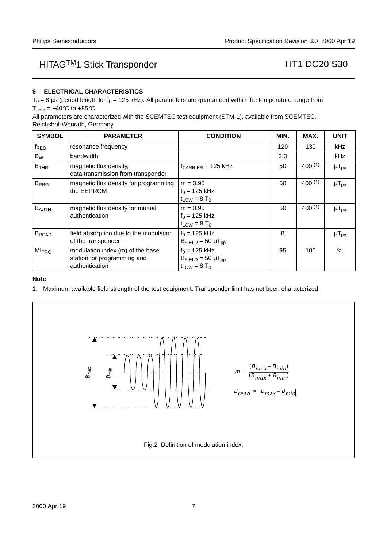## <span id="page-6-0"></span>**9 ELECTRICAL CHARACTERISTICS**

 $T_0 = 8 \,\mu s$  (period length for f<sub>0</sub> = 125 kHz). All parameters are guaranteed within the temperature range from  $T_{amb} = -40^{\circ}$ C to +85 $^{\circ}$ C.

All parameters are characterized with the SCEMTEC test equipment (STM-1), available from SCEMTEC, Reichshof-Wenrath, Germany.

| <b>SYMBOL</b>            | <b>PARAMETER</b>                                                                  | <b>CONDITION</b>                                                                  | MIN. | MAX.        | <b>UNIT</b>  |
|--------------------------|-----------------------------------------------------------------------------------|-----------------------------------------------------------------------------------|------|-------------|--------------|
| $f_{RES}$                | resonance frequency                                                               |                                                                                   | 120  | 130         | kHz          |
| $B_W$                    | bandwidth                                                                         |                                                                                   | 2.3  |             | kHz.         |
| B <sub>THR</sub>         | magnetic flux density,<br>data transmission from transponder                      | $f_{CARRIER}$ = 125 kHz                                                           | 50   | 400(1)      | $\mu T_{pp}$ |
| <b>B</b> <sub>PRG</sub>  | magnetic flux density for programming<br>the EEPROM                               | $m = 0.95$<br>$f_0 = 125$ kHz<br>$t_{LOW} = 8$ T <sub>0</sub>                     | 50   | $400^{(1)}$ | $\mu T_{pp}$ |
| $B_{AUTH}$               | magnetic flux density for mutual<br>authentication                                | $m = 0.95$<br>$f_0 = 125$ kHz<br>$t_{LOW} = 8 T_0$                                | 50   | 400(1)      | $\mu T_{pp}$ |
| <b>B</b> <sub>READ</sub> | field absorption due to the modulation<br>of the transponder                      | $f_0 = 125$ kHz<br>$B_{FIELD} = 50 \mu T_{pp}$                                    | 8    |             | $\mu T_{pp}$ |
| <b>MI<sub>PRG</sub></b>  | modulation index (m) of the base<br>station for programming and<br>authentication | $f_0 = 125$ kHz<br>$B_{\text{FIELD}} = 50 \mu T_{\text{pp}}$<br>$t_{LOW} = 8 T_0$ | 95   | 100         | $\%$         |

#### **Note**

<span id="page-6-1"></span>1. Maximum available field strength of the test equipment. Transponder limit has not been characterized.

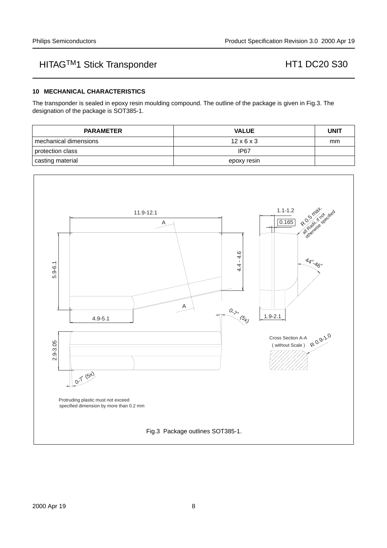### <span id="page-7-0"></span>**10 MECHANICAL CHARACTERISTICS**

The transponder is sealed in epoxy resin moulding compound. The outline of the package is given in [Fig.3](#page-7-1). The designation of the package is SOT385-1.

| <b>PARAMETER</b>        | <b>VALUE</b>           | <b>UNIT</b> |
|-------------------------|------------------------|-------------|
| l mechanical dimensions | $12 \times 6 \times 3$ | mm          |
| protection class        | IP67                   |             |
| casting material        | epoxy resin            |             |

<span id="page-7-1"></span>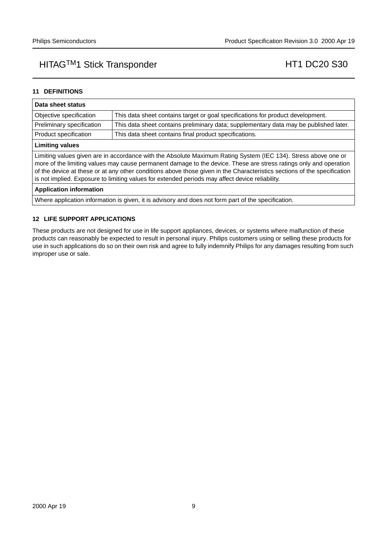## <span id="page-8-0"></span>**11 DEFINITIONS**

| Data sheet status                                                                                                                                                                                                                                                                                                                                                                                                                                                  |                                                        |  |  |  |
|--------------------------------------------------------------------------------------------------------------------------------------------------------------------------------------------------------------------------------------------------------------------------------------------------------------------------------------------------------------------------------------------------------------------------------------------------------------------|--------------------------------------------------------|--|--|--|
| Objective specification<br>This data sheet contains target or goal specifications for product development.                                                                                                                                                                                                                                                                                                                                                         |                                                        |  |  |  |
| Preliminary specification<br>This data sheet contains preliminary data; supplementary data may be published later.                                                                                                                                                                                                                                                                                                                                                 |                                                        |  |  |  |
| Product specification                                                                                                                                                                                                                                                                                                                                                                                                                                              | This data sheet contains final product specifications. |  |  |  |
| <b>Limiting values</b>                                                                                                                                                                                                                                                                                                                                                                                                                                             |                                                        |  |  |  |
| Limiting values given are in accordance with the Absolute Maximum Rating System (IEC 134). Stress above one or<br>more of the limiting values may cause permanent damage to the device. These are stress ratings only and operation<br>of the device at these or at any other conditions above those given in the Characteristics sections of the specification<br>is not implied. Exposure to limiting values for extended periods may affect device reliability. |                                                        |  |  |  |
| <b>Application information</b>                                                                                                                                                                                                                                                                                                                                                                                                                                     |                                                        |  |  |  |
| AAR, and then Parameters to form and the state of the state of the control of forms of a state of the control of the state of                                                                                                                                                                                                                                                                                                                                      |                                                        |  |  |  |

Where application information is given, it is advisory and does not form part of the specification.

## <span id="page-8-1"></span>**12 LIFE SUPPORT APPLICATIONS**

These products are not designed for use in life support appliances, devices, or systems where malfunction of these products can reasonably be expected to result in personal injury. Philips customers using or selling these products for use in such applications do so on their own risk and agree to fully indemnify Philips for any damages resulting from such improper use or sale.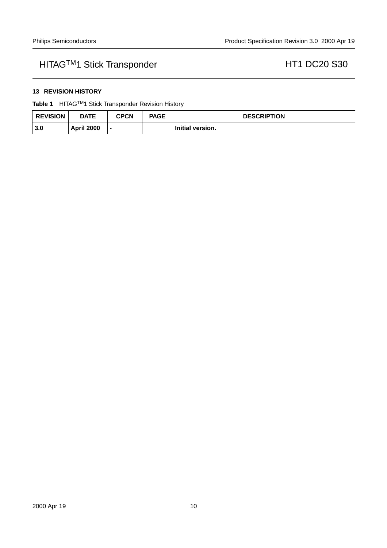## <span id="page-9-0"></span>**13 REVISION HISTORY**

**Table 1** HITAGTM1 Stick Transponder Revision History

| <b>REVISION</b> | <b>DATE</b>       | CPCN | <b>PAGE</b> | <b>DESCRIPTION</b> |
|-----------------|-------------------|------|-------------|--------------------|
| 3.0             | <b>April 2000</b> |      |             | Initial version.   |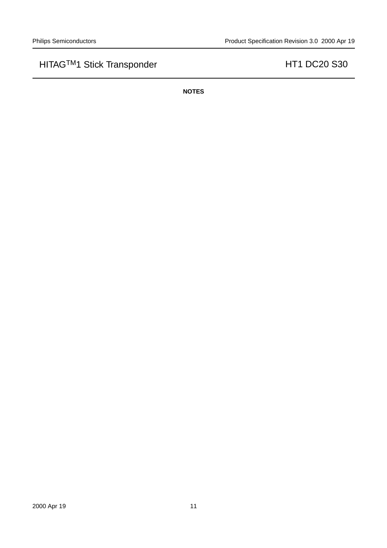**NOTES**